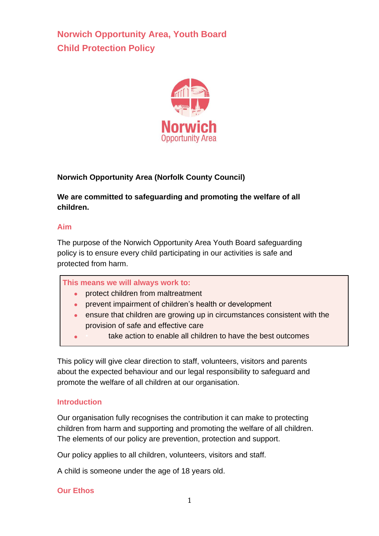# **Norwich Opportunity Area, Youth Board Child Protection Policy**



# **Norwich Opportunity Area (Norfolk County Council)**

**We are committed to safeguarding and promoting the welfare of all children.**

#### **Aim**

The purpose of the Norwich Opportunity Area Youth Board safeguarding policy is to ensure every child participating in our activities is safe and protected from harm.

### **This means we will always work to:**

- protect children from maltreatment
- prevent impairment of children's health or development
- ensure that children are growing up in circumstances consistent with the provision of safe and effective care
	- take action to enable all children to have the best outcomes

This policy will give clear direction to staff, volunteers, visitors and parents about the expected behaviour and our legal responsibility to safeguard and promote the welfare of all children at our organisation.

### **Introduction**

Our organisation fully recognises the contribution it can make to protecting children from harm and supporting and promoting the welfare of all children. The elements of our policy are prevention, protection and support.

Our policy applies to all children, volunteers, visitors and staff.

A child is someone under the age of 18 years old.

### **Our Ethos**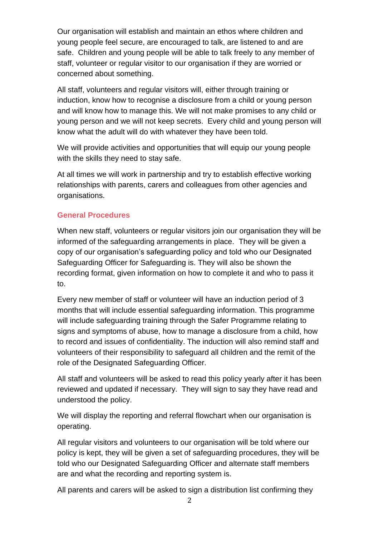Our organisation will establish and maintain an ethos where children and young people feel secure, are encouraged to talk, are listened to and are safe. Children and young people will be able to talk freely to any member of staff, volunteer or regular visitor to our organisation if they are worried or concerned about something.

All staff, volunteers and regular visitors will, either through training or induction, know how to recognise a disclosure from a child or young person and will know how to manage this. We will not make promises to any child or young person and we will not keep secrets. Every child and young person will know what the adult will do with whatever they have been told.

We will provide activities and opportunities that will equip our young people with the skills they need to stay safe.

At all times we will work in partnership and try to establish effective working relationships with parents, carers and colleagues from other agencies and organisations.

#### **General Procedures**

When new staff, volunteers or regular visitors join our organisation they will be informed of the safeguarding arrangements in place. They will be given a copy of our organisation's safeguarding policy and told who our Designated Safeguarding Officer for Safeguarding is. They will also be shown the recording format, given information on how to complete it and who to pass it to.

Every new member of staff or volunteer will have an induction period of 3 months that will include essential safeguarding information. This programme will include safeguarding training through the Safer Programme relating to signs and symptoms of abuse, how to manage a disclosure from a child, how to record and issues of confidentiality. The induction will also remind staff and volunteers of their responsibility to safeguard all children and the remit of the role of the Designated Safeguarding Officer.

All staff and volunteers will be asked to read this policy yearly after it has been reviewed and updated if necessary. They will sign to say they have read and understood the policy.

We will display the reporting and referral flowchart when our organisation is operating.

All regular visitors and volunteers to our organisation will be told where our policy is kept, they will be given a set of safeguarding procedures, they will be told who our Designated Safeguarding Officer and alternate staff members are and what the recording and reporting system is.

All parents and carers will be asked to sign a distribution list confirming they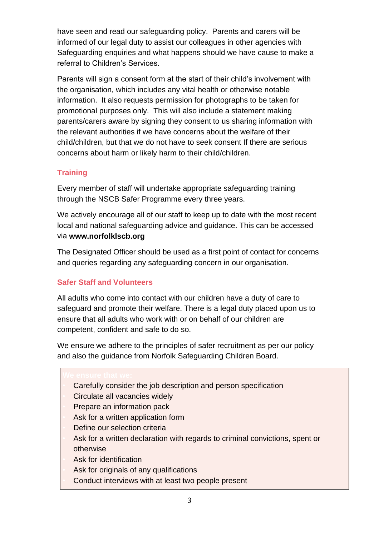have seen and read our safeguarding policy. Parents and carers will be informed of our legal duty to assist our colleagues in other agencies with Safeguarding enquiries and what happens should we have cause to make a referral to Children's Services.

Parents will sign a consent form at the start of their child's involvement with the organisation, which includes any vital health or otherwise notable information. It also requests permission for photographs to be taken for promotional purposes only. This will also include a statement making parents/carers aware by signing they consent to us sharing information with the relevant authorities if we have concerns about the welfare of their child/children, but that we do not have to seek consent If there are serious concerns about harm or likely harm to their child/children.

# **Training**

Every member of staff will undertake appropriate safeguarding training through the NSCB Safer Programme every three years.

We actively encourage all of our staff to keep up to date with the most recent local and national safeguarding advice and guidance. This can be accessed via **www.norfolklscb.org**

The Designated Officer should be used as a first point of contact for concerns and queries regarding any safeguarding concern in our organisation.

# **Safer Staff and Volunteers**

All adults who come into contact with our children have a duty of care to safeguard and promote their welfare. There is a legal duty placed upon us to ensure that all adults who work with or on behalf of our children are competent, confident and safe to do so.

We ensure we adhere to the principles of safer recruitment as per our policy and also the guidance from Norfolk Safeguarding Children Board.

- Carefully consider the job description and person specification
- Circulate all vacancies widely
- Prepare an information pack
- Ask for a written application form
- Define our selection criteria
- Ask for a written declaration with regards to criminal convictions, spent or otherwise
- Ask for identification
- Ask for originals of any qualifications
- Conduct interviews with at least two people present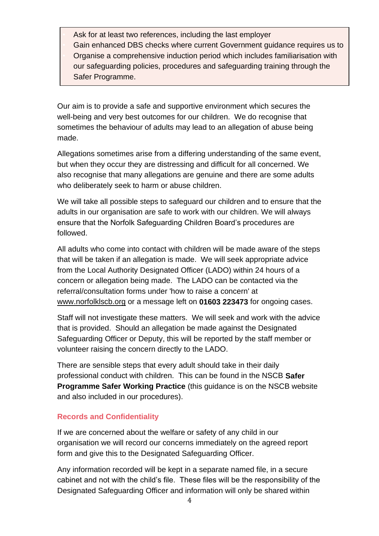Ask for at least two references, including the last employer • Gain enhanced DBS checks where current Government guidance requires us to • Organise a comprehensive induction period which includes familiarisation with our safeguarding policies, procedures and safeguarding training through the Safer Programme.

Our aim is to provide a safe and supportive environment which secures the well-being and very best outcomes for our children. We do recognise that sometimes the behaviour of adults may lead to an allegation of abuse being made.

Allegations sometimes arise from a differing understanding of the same event, but when they occur they are distressing and difficult for all concerned. We also recognise that many allegations are genuine and there are some adults who deliberately seek to harm or abuse children.

We will take all possible steps to safeguard our children and to ensure that the adults in our organisation are safe to work with our children. We will always ensure that the Norfolk Safeguarding Children Board's procedures are followed.

All adults who come into contact with children will be made aware of the steps that will be taken if an allegation is made. We will seek appropriate advice from the Local Authority Designated Officer (LADO) within 24 hours of a concern or allegation being made. The LADO can be contacted via the referral/consultation forms under 'how to raise a concern' at www.norfolklscb.org or a message left on **01603 223473** for ongoing cases.

Staff will not investigate these matters. We will seek and work with the advice that is provided. Should an allegation be made against the Designated Safeguarding Officer or Deputy, this will be reported by the staff member or volunteer raising the concern directly to the LADO.

There are sensible steps that every adult should take in their daily professional conduct with children. This can be found in the NSCB **Safer Programme Safer Working Practice** (this guidance is on the NSCB website and also included in our procedures).

#### **Records and Confidentiality**

If we are concerned about the welfare or safety of any child in our organisation we will record our concerns immediately on the agreed report form and give this to the Designated Safeguarding Officer.

Any information recorded will be kept in a separate named file, in a secure cabinet and not with the child's file. These files will be the responsibility of the Designated Safeguarding Officer and information will only be shared within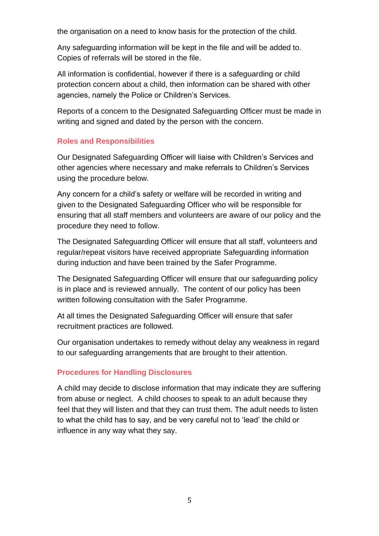the organisation on a need to know basis for the protection of the child.

Any safeguarding information will be kept in the file and will be added to. Copies of referrals will be stored in the file.

All information is confidential, however if there is a safeguarding or child protection concern about a child, then information can be shared with other agencies, namely the Police or Children's Services.

Reports of a concern to the Designated Safeguarding Officer must be made in writing and signed and dated by the person with the concern.

# **Roles and Responsibilities**

Our Designated Safeguarding Officer will liaise with Children's Services and other agencies where necessary and make referrals to Children's Services using the procedure below.

Any concern for a child's safety or welfare will be recorded in writing and given to the Designated Safeguarding Officer who will be responsible for ensuring that all staff members and volunteers are aware of our policy and the procedure they need to follow.

The Designated Safeguarding Officer will ensure that all staff, volunteers and regular/repeat visitors have received appropriate Safeguarding information during induction and have been trained by the Safer Programme.

The Designated Safeguarding Officer will ensure that our safeguarding policy is in place and is reviewed annually. The content of our policy has been written following consultation with the Safer Programme.

At all times the Designated Safeguarding Officer will ensure that safer recruitment practices are followed.

Our organisation undertakes to remedy without delay any weakness in regard to our safeguarding arrangements that are brought to their attention.

### **Procedures for Handling Disclosures**

A child may decide to disclose information that may indicate they are suffering from abuse or neglect. A child chooses to speak to an adult because they feel that they will listen and that they can trust them. The adult needs to listen to what the child has to say, and be very careful not to 'lead' the child or influence in any way what they say.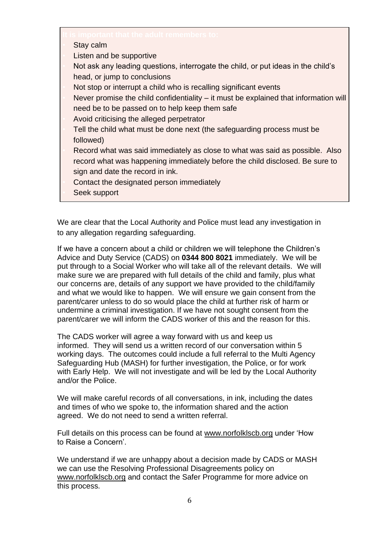| nportant that the adult remembers to:                                                  |
|----------------------------------------------------------------------------------------|
| Stay calm                                                                              |
| Listen and be supportive                                                               |
| Not ask any leading questions, interrogate the child, or put ideas in the child's      |
| head, or jump to conclusions                                                           |
| Not stop or interrupt a child who is recalling significant events                      |
| Never promise the child confidentiality $-$ it must be explained that information will |
| need be to be passed on to help keep them safe                                         |
| Avoid criticising the alleged perpetrator                                              |
| Tell the child what must be done next (the safeguarding process must be                |
| followed)                                                                              |
| Record what was said immediately as close to what was said as possible. Also           |
| record what was happening immediately before the child disclosed. Be sure to           |
| sign and date the record in ink.                                                       |
| Contact the designated person immediately                                              |
| Seek support                                                                           |

We are clear that the Local Authority and Police must lead any investigation in to any allegation regarding safeguarding.

If we have a concern about a child or children we will telephone the Children's Advice and Duty Service (CADS) on **0344 800 8021** immediately. We will be put through to a Social Worker who will take all of the relevant details. We will make sure we are prepared with full details of the child and family, plus what our concerns are, details of any support we have provided to the child/family and what we would like to happen. We will ensure we gain consent from the parent/carer unless to do so would place the child at further risk of harm or undermine a criminal investigation. If we have not sought consent from the parent/carer we will inform the CADS worker of this and the reason for this.

The CADS worker will agree a way forward with us and keep us informed. They will send us a written record of our conversation within 5 working days. The outcomes could include a full referral to the Multi Agency Safeguarding Hub (MASH) for further investigation, the Police, or for work with Early Help. We will not investigate and will be led by the Local Authority and/or the Police.

We will make careful records of all conversations, in ink, including the dates and times of who we spoke to, the information shared and the action agreed. We do not need to send a written referral.

Full details on this process can be found at [www.norfolklscb.org](http://www.norfolklscb.org/) under 'How to Raise a Concern'.

We understand if we are unhappy about a decision made by CADS or MASH we can use the Resolving Professional Disagreements policy on [www.norfolklscb.org](http://www.norfolklscb.org/) and contact the Safer Programme for more advice on this process.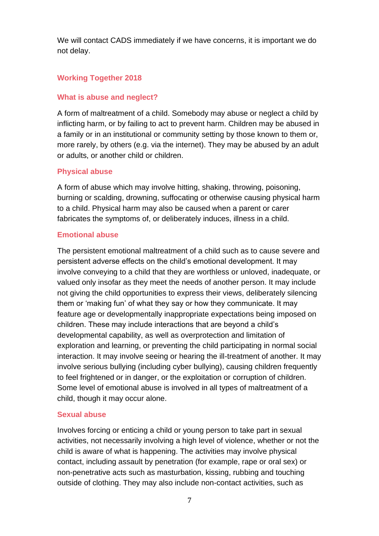We will contact CADS immediately if we have concerns, it is important we do not delay.

# **Working Together 2018**

### **What is abuse and neglect?**

A form of maltreatment of a child. Somebody may abuse or neglect a child by inflicting harm, or by failing to act to prevent harm. Children may be abused in a family or in an institutional or community setting by those known to them or, more rarely, by others (e.g. via the internet). They may be abused by an adult or adults, or another child or children.

#### **Physical abuse**

A form of abuse which may involve hitting, shaking, throwing, poisoning, burning or scalding, drowning, suffocating or otherwise causing physical harm to a child. Physical harm may also be caused when a parent or carer fabricates the symptoms of, or deliberately induces, illness in a child.

#### **Emotional abuse**

The persistent emotional maltreatment of a child such as to cause severe and persistent adverse effects on the child's emotional development. It may involve conveying to a child that they are worthless or unloved, inadequate, or valued only insofar as they meet the needs of another person. It may include not giving the child opportunities to express their views, deliberately silencing them or 'making fun' of what they say or how they communicate. It may feature age or developmentally inappropriate expectations being imposed on children. These may include interactions that are beyond a child's developmental capability, as well as overprotection and limitation of exploration and learning, or preventing the child participating in normal social interaction. It may involve seeing or hearing the ill-treatment of another. It may involve serious bullying (including cyber bullying), causing children frequently to feel frightened or in danger, or the exploitation or corruption of children. Some level of emotional abuse is involved in all types of maltreatment of a child, though it may occur alone.

#### **Sexual abuse**

Involves forcing or enticing a child or young person to take part in sexual activities, not necessarily involving a high level of violence, whether or not the child is aware of what is happening. The activities may involve physical contact, including assault by penetration (for example, rape or oral sex) or non-penetrative acts such as masturbation, kissing, rubbing and touching outside of clothing. They may also include non-contact activities, such as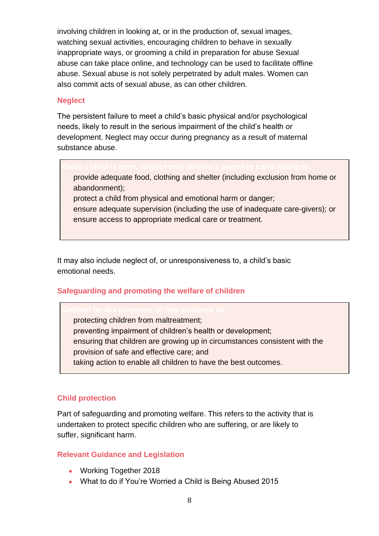involving children in looking at, or in the production of, sexual images, watching sexual activities, encouraging children to behave in sexually inappropriate ways, or grooming a child in preparation for abuse Sexual abuse can take place online, and technology can be used to facilitate offline abuse. Sexual abuse is not solely perpetrated by adult males. Women can also commit acts of sexual abuse, as can other children.

#### **Neglect**

The persistent failure to meet a child's basic physical and/or psychological needs, likely to result in the serious impairment of the child's health or development. Neglect may occur during pregnancy as a result of maternal substance abuse.

- 
- provide adequate food, clothing and shelter (including exclusion from home or abandonment);
- protect a child from physical and emotional harm or danger;
- ensure adequate supervision (including the use of inadequate care-givers); or
- ensure access to appropriate medical care or treatment.

It may also include neglect of, or unresponsiveness to, a child's basic emotional needs.

### **Safeguarding and promoting the welfare of children**

- protecting children from maltreatment;
- preventing impairment of children's health or development;
- ensuring that children are growing up in circumstances consistent with the provision of safe and effective care; and
	- taking action to enable all children to have the best outcomes.

### **Child protection**

Part of safeguarding and promoting welfare. This refers to the activity that is undertaken to protect specific children who are suffering, or are likely to suffer, significant harm.

#### **Relevant Guidance and Legislation**

- Working Together 2018
- What to do if You're Worried a Child is Being Abused 2015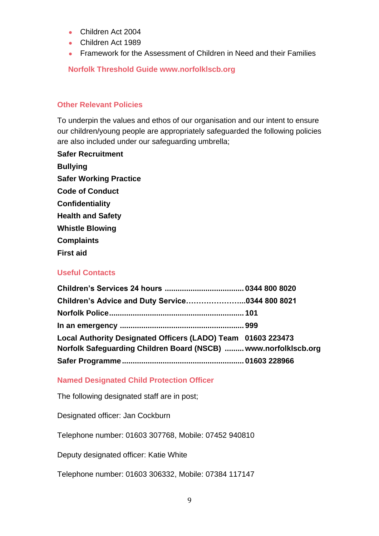- Children Act 2004
- Children Act 1989
- Framework for the Assessment of Children in Need and their Families

**Norfolk Threshold Guide www.norfolklscb.org**

#### **Other Relevant Policies**

To underpin the values and ethos of our organisation and our intent to ensure our children/young people are appropriately safeguarded the following policies are also included under our safeguarding umbrella;

**Safer Recruitment Bullying Safer Working Practice Code of Conduct Confidentiality Health and Safety Whistle Blowing Complaints First aid**

### **Useful Contacts**

| Children's Advice and Duty Service0344 800 8021                 |  |
|-----------------------------------------------------------------|--|
|                                                                 |  |
|                                                                 |  |
| Local Authority Designated Officers (LADO) Team 01603 223473    |  |
| Norfolk Safeguarding Children Board (NSCB)  www.norfolklscb.org |  |
|                                                                 |  |

#### **Named Designated Child Protection Officer**

The following designated staff are in post;

Designated officer: Jan Cockburn

Telephone number: 01603 307768, Mobile: 07452 940810

Deputy designated officer: Katie White

Telephone number: 01603 306332, Mobile: 07384 117147